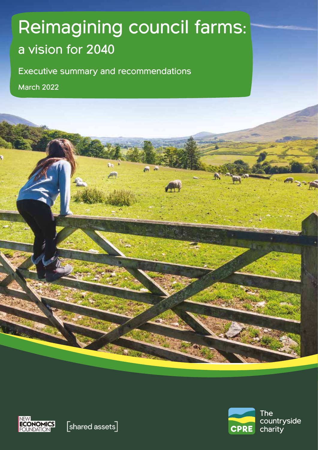# Reimagining council farms: a vision for 2040

Executive summary and recommendations

March 2022







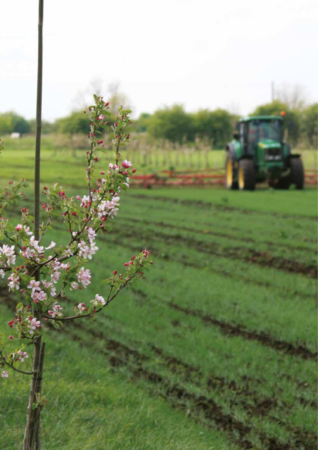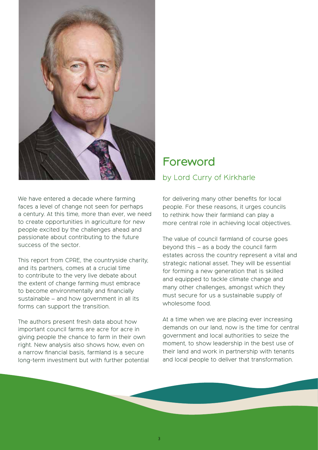

We have entered a decade where farming faces a level of change not seen for perhaps a century. At this time, more than ever, we need to create opportunities in agriculture for new people excited by the challenges ahead and passionate about contributing to the future success of the sector.

This report from CPRE, the countryside charity, and its partners, comes at a crucial time to contribute to the very live debate about the extent of change farming must embrace to become environmentally and fnancially sustainable – and how government in all its forms can support the transition.

The authors present fresh data about how important council farms are acre for acre in giving people the chance to farm in their own right. New analysis also shows how, even on a narrow fnancial basis, farmland is a secure long-term investment but with further potential

# Foreword by Lord Curry of Kirkharle

for delivering many other benefits for local people. For these reasons, it urges councils to rethink how their farmland can play a more central role in achieving local objectives.

The value of council farmland of course goes beyond this – as a body the council farm estates across the country represent a vital and strategic national asset. They will be essential for forming a new generation that is skilled and equipped to tackle climate change and many other challenges, amongst which they must secure for us a sustainable supply of wholesome food.

At a time when we are placing ever increasing demands on our land, now is the time for central government and local authorities to seize the moment, to show leadership in the best use of their land and work in partnership with tenants and local people to deliver that transformation.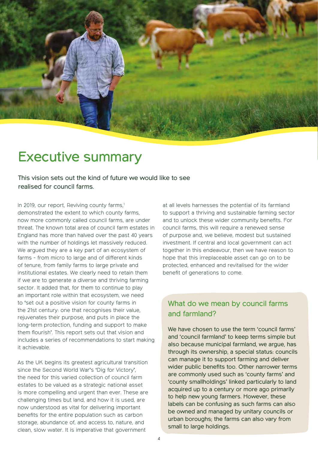

# Executive summary

This vision sets out the kind of future we would like to see realised for council farms.

In 2019, our report, Reviving county farms,<sup>1</sup> demonstrated the extent to which county farms, now more commonly called council farms, are under threat. The known total area of council farm estates in England has more than halved over the past 40 years with the number of holdings let massively reduced. We argued they are a key part of an ecosystem of farms - from micro to large and of diferent kinds of tenure, from family farms to large private and institutional estates. We clearly need to retain them if we are to generate a diverse and thriving farming sector. It added that, for them to continue to play an important role within that ecosystem, we need to 'set out a positive vision for county farms in the 21st century: one that recognises their value, rejuvenates their purpose, and puts in place the long-term protection, funding and support to make them fourish'. This report sets out that vision and includes a series of recommendations to start making it achievable.

As the UK begins its greatest agricultural transition since the Second World War's 'Dig for Victory', the need for this varied collection of council farm estates to be valued as a strategic national asset is more compelling and urgent than ever. These are challenging times but land, and how it is used, are now understood as vital for delivering important benefts for the entire population such as carbon storage, abundance of, and access to, nature, and clean, slow water. It is imperative that government

at all levels harnesses the potential of its farmland to support a thriving and sustainable farming sector and to unlock these wider community benefts. For council farms, this will require a renewed sense of purpose and, we believe, modest but sustained investment. If central and local government can act together in this endeavour, then we have reason to hope that this irreplaceable asset can go on to be protected, enhanced and revitalised for the wider beneft of generations to come.

## What do we mean by council farms and farmland?

We have chosen to use the term 'council farms' and 'council farmland' to keep terms simple but also because municipal farmland, we argue, has through its ownership, a special status: councils can manage it to support farming and deliver wider public benefits too. Other narrower terms are commonly used such as 'county farms' and 'county smallholdings' linked particularly to land acquired up to a century or more ago primarily to help new young farmers. However, these labels can be confusing as such farms can also be owned and managed by unitary councils or urban boroughs; the farms can also vary from small to large holdings.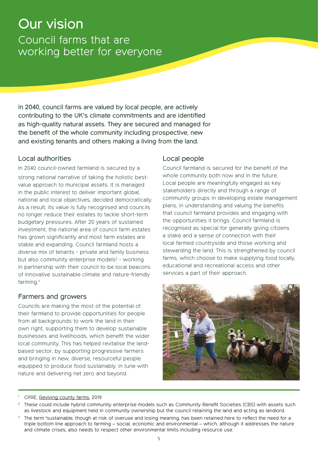# Our vision Council farms that are working better for everyone

In 2040, council farms are valued by local people, are actively contributing to the UK's climate commitments and are identifed as high-quality natural assets. They are secured and managed for the benefit of the whole community including prospective, new and existing tenants and others making a living from the land.

### Local authorities

In 2040 council-owned farmland is secured by a strong national narrative of taking the holistic bestvalue approach to municipal assets. It is managed in the public interest to deliver important global, national and local objectives, decided democratically. As a result, its value is fully recognised and councils no longer reduce their estates to tackle short-term budgetary pressures. After 20 years of sustained investment, the national area of council farm estates has grown signifcantly and most farm estates are stable and expanding. Council farmland hosts a diverse mix of tenants - private and family business but also community enterprise models<sup>2</sup> - working in partnership with their council to be local beacons of innovative sustainable climate and nature-friendly farming.3 Local authorities<br>
Local people<br>
matavarea community and a secured by a<br>
countainemate of the star of the probability of the community<br>
star of the public interest to deliver important global,<br>
where community<br>
and local p

### Farmers and growers

nature and delivering net zero and beyond. Councils are making the most of the potential of their farmland to provide opportunities for people from all backgrounds to work the land in their own right, supporting them to develop sustainable businesses and livelihoods, which beneft the wider local community. This has helped revitalise the landbased sector, by supporting progressive farmers and bringing in new, diverse, resourceful people equipped to produce food sustainably, in tune with

services a part of their approach. Council farmland is secured for the beneft of the whole community both now and in the future. Local people are meaningfully engaged as key stakeholders directly and through a range of community groups in developing estate management plans, in understanding and valuing the benefits that council farmland provides and engaging with the opportunities it brings. Council farmland is recognised as special for generally giving citizens a stake and a sense of connection with their local farmed countryside and those working and stewarding the land. This is strengthened by council farms, which choose to make supplying food locally, educational and recreational access and other



<sup>&</sup>lt;sup>1</sup> CPRE, Reviving county farms, 2019

 $^{\rm 2}~$  These could include hybrid community enterprise models such as Community Benefit Societies (CBS) with assets such as livestock and equipment held in community ownership but the council retaining the land and acting as landlord.

as livestock and equipment held in community ownership but the council retaining the land and acting as landlord<br>The term 'sustainable, though at risk of overuse and losing meaning, has been retained here to reflect the ne triple bottom line approach to farming – social, economic and environmental – which, although it addresses the nature and climate crises, also needs to respect other environmental limits including resource use.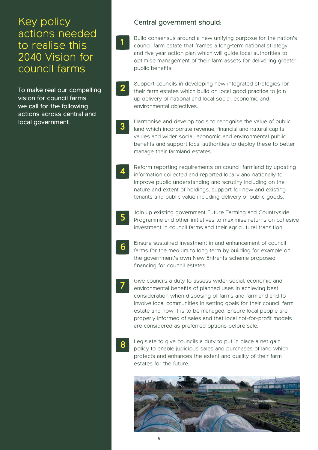# Key policy actions needed to realise this 2040 Vision for council farms

To make real our compelling vision for council farms we call for the following actions across central and local government.

### Central government should:

- Build consensus around a new unifying purpose for the nation's council farm estate that frames a long-term national strategy and five year action plan which will quide local authorities to optimise management of their farm assets for delivering greater public benefits.
- **2** Support councils in developing new integrated strategies for their farm estates which build on local good practice to join up delivery of national and local social, economic and environmental objectives.
- manage their farmland estates. **3** Harmonise and develop tools to recognise the value of public land which incorporate revenue, fnancial and natural capital values and wider social, economic and environmental public benefts and support local authorities to deploy these to better
- tenants and public value including delivery of public goods. Reform reporting requirements on council farmland by updating information collected and reported locally and nationally to improve public understanding and scrutiny including on the nature and extent of holdings, support for new and existing **4**
	- Join up existing government Future Farming and Countryside Programme and other initiatives to maximise returns on cohesive investment in council farms and their agricultural transition.
- Ensure sustained investment in and enhancement of council farms for the medium to long term by building for example on the government's own New Entrants scheme proposed fnancing for council estates. **6**
- **7**

**5**

**1**

Give councils a duty to assess wider social, economic and environmental benefts of planned uses in achieving best consideration when disposing of farms and farmland and to involve local communities in setting goals for their council farm estate and how it is to be managed. Ensure local people are properly informed of sales and that local not-for-proft models are considered as preferred options before sale.

**8**

Legislate to give councils a duty to put in place a net gain policy to enable judicious sales and purchases of land which protects and enhances the extent and quality of their farm estates for the future.

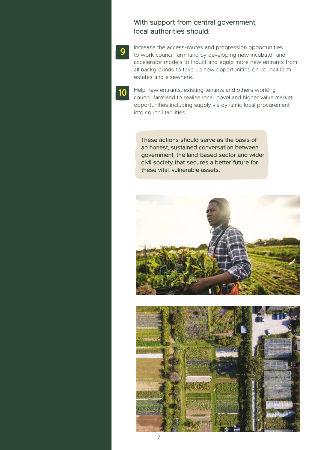### With support from central government, local authorities should:

Increase the access-routes and progression opportunities to work council farm land by developing new incubator and accelerator models to induct and equip more new entrants from all backgrounds to take up new opportunities on council farm estates and elsewhere.



Help new entrants, existing tenants and others working **10** council farmland to realise local, novel and higher value market opportunities including supply via dynamic local procurement into council facilities.

> these vital, vulnerable assets. These actions should serve as the basis of an honest, sustained conversation between government, the land-based sector and wider civil society that secures a better future for